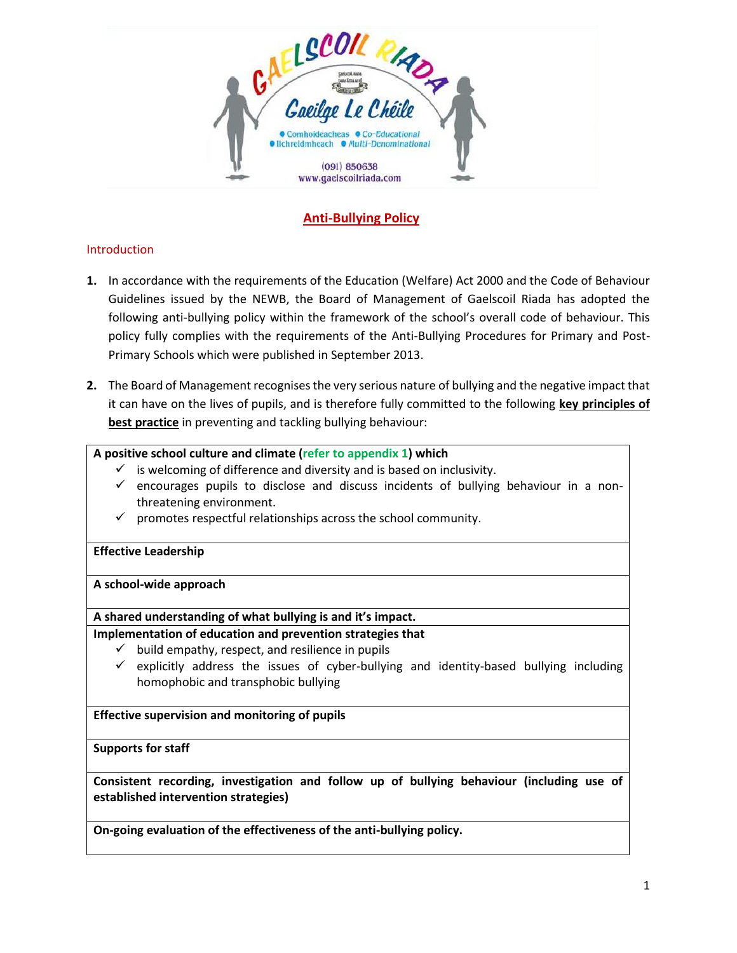

# **Anti-Bullying Policy**

#### Introduction

- **1.** In accordance with the requirements of the Education (Welfare) Act 2000 and the Code of Behaviour Guidelines issued by the NEWB, the Board of Management of Gaelscoil Riada has adopted the following anti-bullying policy within the framework of the school's overall code of behaviour. This policy fully complies with the requirements of the Anti-Bullying Procedures for Primary and Post-Primary Schools which were published in September 2013.
- **2.** The Board of Management recognises the very serious nature of bullying and the negative impact that it can have on the lives of pupils, and is therefore fully committed to the following **key principles of best practice** in preventing and tackling bullying behaviour:

#### **A positive school culture and climate (refer to appendix 1) which**

- $\checkmark$  is welcoming of difference and diversity and is based on inclusivity.
- $\checkmark$  encourages pupils to disclose and discuss incidents of bullying behaviour in a nonthreatening environment.
- $\checkmark$  promotes respectful relationships across the school community.

#### **Effective Leadership**

**A school-wide approach**

#### **A shared understanding of what bullying is and it's impact.**

#### **Implementation of education and prevention strategies that**

- $\checkmark$  build empathy, respect, and resilience in pupils
- $\checkmark$  explicitly address the issues of cyber-bullying and identity-based bullying including homophobic and transphobic bullying

#### **Effective supervision and monitoring of pupils**

#### **Supports for staff**

**Consistent recording, investigation and follow up of bullying behaviour (including use of established intervention strategies)**

**On-going evaluation of the effectiveness of the anti-bullying policy.**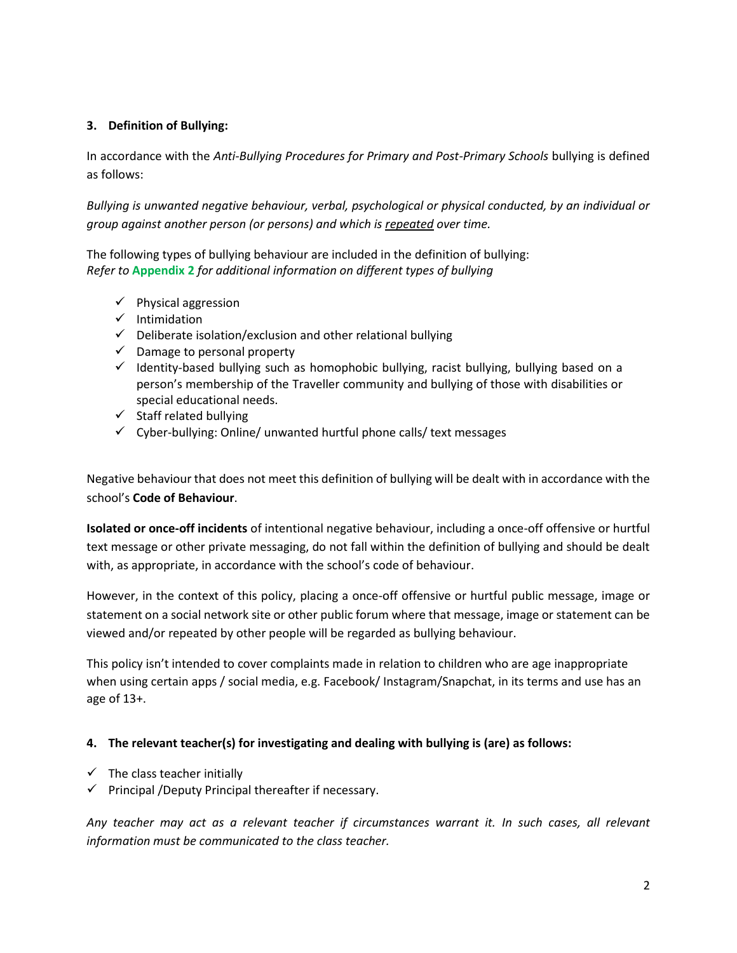# **3. Definition of Bullying:**

In accordance with the *Anti-Bullying Procedures for Primary and Post-Primary Schools* bullying is defined as follows:

*Bullying is unwanted negative behaviour, verbal, psychological or physical conducted, by an individual or group against another person (or persons) and which is repeated over time.*

The following types of bullying behaviour are included in the definition of bullying: *Refer to* **Appendix 2** *for additional information on different types of bullying*

- ✓ Physical aggression
- ✓ Intimidation
- $\checkmark$  Deliberate isolation/exclusion and other relational bullying
- $\checkmark$  Damage to personal property
- $\checkmark$  Identity-based bullying such as homophobic bullying, racist bullying, bullying based on a person's membership of the Traveller community and bullying of those with disabilities or special educational needs.
- $\checkmark$  Staff related bullying
- $\checkmark$  Cyber-bullying: Online/ unwanted hurtful phone calls/ text messages

Negative behaviour that does not meet this definition of bullying will be dealt with in accordance with the school's **Code of Behaviour**.

**Isolated or once-off incidents** of intentional negative behaviour, including a once-off offensive or hurtful text message or other private messaging, do not fall within the definition of bullying and should be dealt with, as appropriate, in accordance with the school's code of behaviour.

However, in the context of this policy, placing a once-off offensive or hurtful public message, image or statement on a social network site or other public forum where that message, image or statement can be viewed and/or repeated by other people will be regarded as bullying behaviour.

This policy isn't intended to cover complaints made in relation to children who are age inappropriate when using certain apps / social media, e.g. Facebook/ Instagram/Snapchat, in its terms and use has an age of 13+.

# **4. The relevant teacher(s) for investigating and dealing with bullying is (are) as follows:**

- $\checkmark$  The class teacher initially
- $\checkmark$  Principal /Deputy Principal thereafter if necessary.

*Any teacher may act as a relevant teacher if circumstances warrant it. In such cases, all relevant information must be communicated to the class teacher.*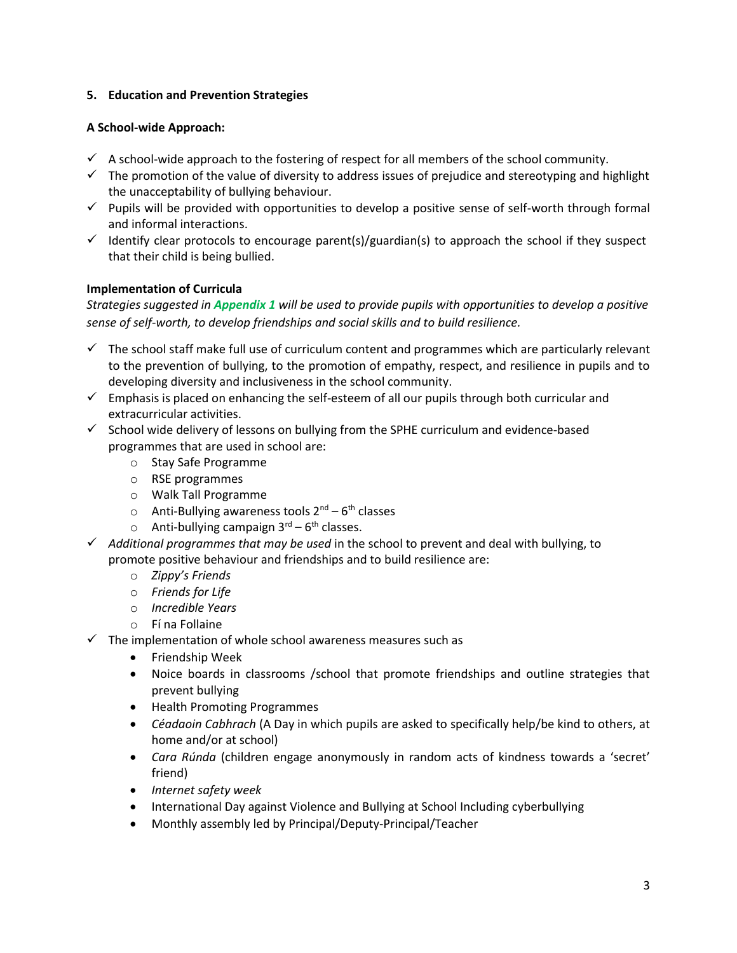#### **5. Education and Prevention Strategies**

#### **A School-wide Approach:**

- $\checkmark$  A school-wide approach to the fostering of respect for all members of the school community.
- $\checkmark$  The promotion of the value of diversity to address issues of prejudice and stereotyping and highlight the unacceptability of bullying behaviour.
- $\checkmark$  Pupils will be provided with opportunities to develop a positive sense of self-worth through formal and informal interactions.
- $\checkmark$  Identify clear protocols to encourage parent(s)/guardian(s) to approach the school if they suspect that their child is being bullied.

# **Implementation of Curricula**

*Strategies suggested in Appendix 1 will be used to provide pupils with opportunities to develop a positive sense of self-worth, to develop friendships and social skills and to build resilience.* 

- $\checkmark$  The school staff make full use of curriculum content and programmes which are particularly relevant to the prevention of bullying, to the promotion of empathy, respect, and resilience in pupils and to developing diversity and inclusiveness in the school community.
- $\checkmark$  Emphasis is placed on enhancing the self-esteem of all our pupils through both curricular and extracurricular activities.
- $\checkmark$  School wide delivery of lessons on bullying from the SPHE curriculum and evidence-based programmes that are used in school are:
	- o Stay Safe Programme
	- o RSE programmes
	- o Walk Tall Programme
	- o Anti-Bullying awareness tools 2<sup>nd</sup> 6<sup>th</sup> classes
	- $\circ$  Anti-bullying campaign  $3^{\text{rd}} 6^{\text{th}}$  classes.
- ✓ *Additional programmes that may be used* in the school to prevent and deal with bullying, to promote positive behaviour and friendships and to build resilience are:
	- o *Zippy's Friends*
	- o *Friends for Life*
	- o *Incredible Years*
	- o Fí na Follaine
- $\checkmark$  The implementation of whole school awareness measures such as
	- Friendship Week
	- Noice boards in classrooms /school that promote friendships and outline strategies that prevent bullying
	- Health Promoting Programmes
	- *Céadaoin Cabhrach* (A Day in which pupils are asked to specifically help/be kind to others, at home and/or at school)
	- *Cara Rúnda* (children engage anonymously in random acts of kindness towards a 'secret' friend)
	- *Internet safety week*
	- International Day against Violence and Bullying at School Including cyberbullying
	- Monthly assembly led by Principal/Deputy-Principal/Teacher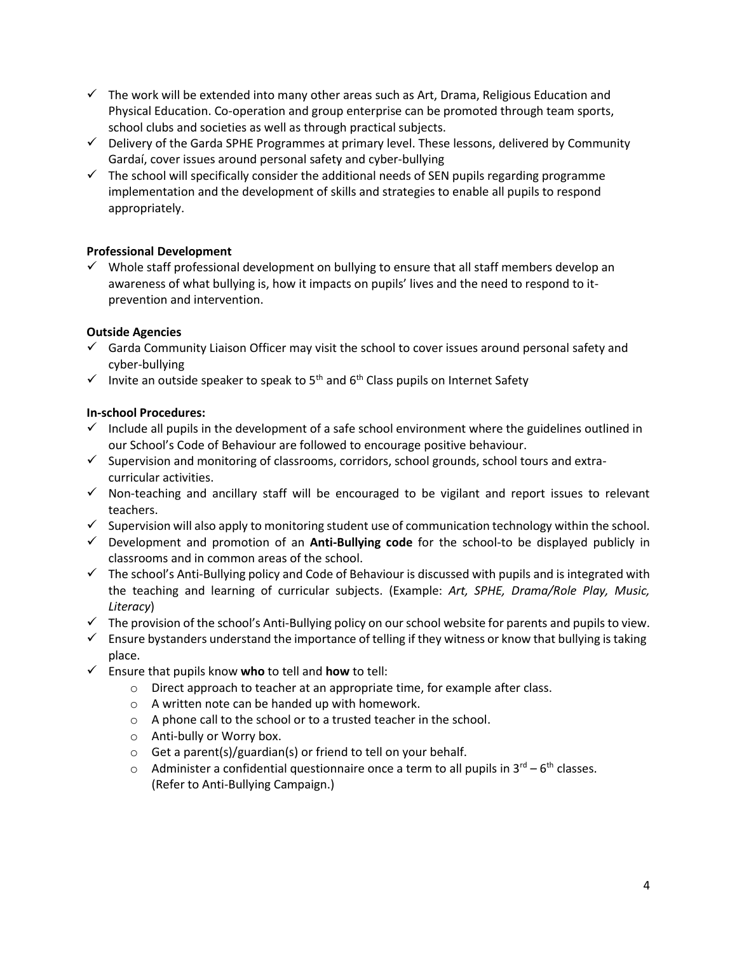- $\checkmark$  The work will be extended into many other areas such as Art, Drama, Religious Education and Physical Education. Co-operation and group enterprise can be promoted through team sports, school clubs and societies as well as through practical subjects.
- $\checkmark$  Delivery of the Garda SPHE Programmes at primary level. These lessons, delivered by Community Gardaí, cover issues around personal safety and cyber-bullying
- $\checkmark$  The school will specifically consider the additional needs of SEN pupils regarding programme implementation and the development of skills and strategies to enable all pupils to respond appropriately.

# **Professional Development**

 $\checkmark$  Whole staff professional development on bullying to ensure that all staff members develop an awareness of what bullying is, how it impacts on pupils' lives and the need to respond to itprevention and intervention.

# **Outside Agencies**

- $\checkmark$  Garda Community Liaison Officer may visit the school to cover issues around personal safety and cyber-bullying
- $\checkmark$  Invite an outside speaker to speak to 5<sup>th</sup> and 6<sup>th</sup> Class pupils on Internet Safety

# **In-school Procedures:**

- $\checkmark$  Include all pupils in the development of a safe school environment where the guidelines outlined in our School's Code of Behaviour are followed to encourage positive behaviour.
- ✓ Supervision and monitoring of classrooms, corridors, school grounds, school tours and extracurricular activities.
- ✓ Non-teaching and ancillary staff will be encouraged to be vigilant and report issues to relevant teachers.
- $\checkmark$  Supervision will also apply to monitoring student use of communication technology within the school.
- ✓ Development and promotion of an **Anti-Bullying code** for the school-to be displayed publicly in classrooms and in common areas of the school.
- $\checkmark$  The school's Anti-Bullying policy and Code of Behaviour is discussed with pupils and is integrated with the teaching and learning of curricular subjects. (Example: *Art, SPHE, Drama/Role Play, Music, Literacy*)
- $\checkmark$  The provision of the school's Anti-Bullying policy on our school website for parents and pupils to view.
- $\checkmark$  Ensure bystanders understand the importance of telling if they witness or know that bullying is taking place.
- ✓ Ensure that pupils know **who** to tell and **how** to tell:
	- o Direct approach to teacher at an appropriate time, for example after class.
	- o A written note can be handed up with homework.
	- o A phone call to the school or to a trusted teacher in the school.
	- o Anti-bully or Worry box.
	- $\circ$  Get a parent(s)/guardian(s) or friend to tell on your behalf.
	- $\circ$  Administer a confidential questionnaire once a term to all pupils in 3<sup>rd</sup> 6<sup>th</sup> classes. (Refer to Anti-Bullying Campaign.)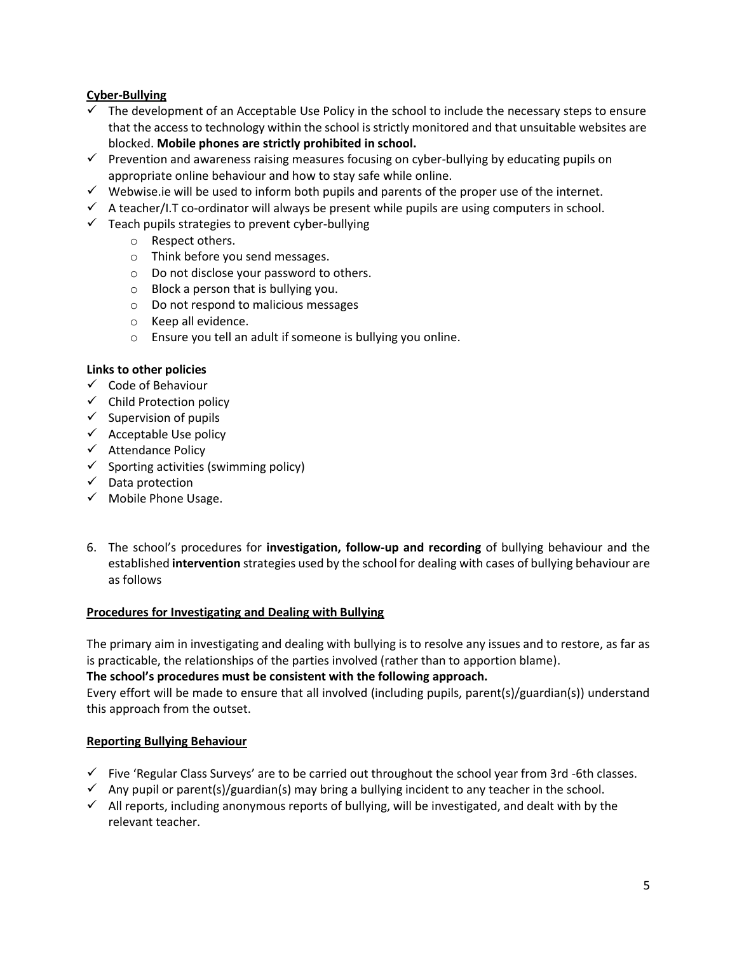# **Cyber-Bullying**

- The development of an Acceptable Use Policy in the school to include the necessary steps to ensure that the access to technology within the school is strictly monitored and that unsuitable websites are blocked. **Mobile phones are strictly prohibited in school.**
- $\checkmark$  Prevention and awareness raising measures focusing on cyber-bullying by educating pupils on appropriate online behaviour and how to stay safe while online.
- $\checkmark$  Webwise.ie will be used to inform both pupils and parents of the proper use of the internet.
- $\checkmark$  A teacher/I.T co-ordinator will always be present while pupils are using computers in school.
- $\checkmark$  Teach pupils strategies to prevent cyber-bullying
	- o Respect others.
	- o Think before you send messages.
	- o Do not disclose your password to others.
	- o Block a person that is bullying you.
	- o Do not respond to malicious messages
	- o Keep all evidence.
	- o Ensure you tell an adult if someone is bullying you online.

#### **Links to other policies**

- ✓ Code of Behaviour
- $\checkmark$  Child Protection policy
- $\checkmark$  Supervision of pupils
- $\checkmark$  Acceptable Use policy
- ✓ Attendance Policy
- $\checkmark$  Sporting activities (swimming policy)
- ✓ Data protection
- $\checkmark$  Mobile Phone Usage.
- 6. The school's procedures for **investigation, follow-up and recording** of bullying behaviour and the established **intervention** strategies used by the school for dealing with cases of bullying behaviour are as follows

#### **Procedures for Investigating and Dealing with Bullying**

The primary aim in investigating and dealing with bullying is to resolve any issues and to restore, as far as is practicable, the relationships of the parties involved (rather than to apportion blame).

#### **The school's procedures must be consistent with the following approach.**

Every effort will be made to ensure that all involved (including pupils, parent(s)/guardian(s)) understand this approach from the outset.

# **Reporting Bullying Behaviour**

- ✓ Five 'Regular Class Surveys' are to be carried out throughout the school year from 3rd -6th classes.
- $\checkmark$  Any pupil or parent(s)/guardian(s) may bring a bullying incident to any teacher in the school.
- $\checkmark$  All reports, including anonymous reports of bullying, will be investigated, and dealt with by the relevant teacher.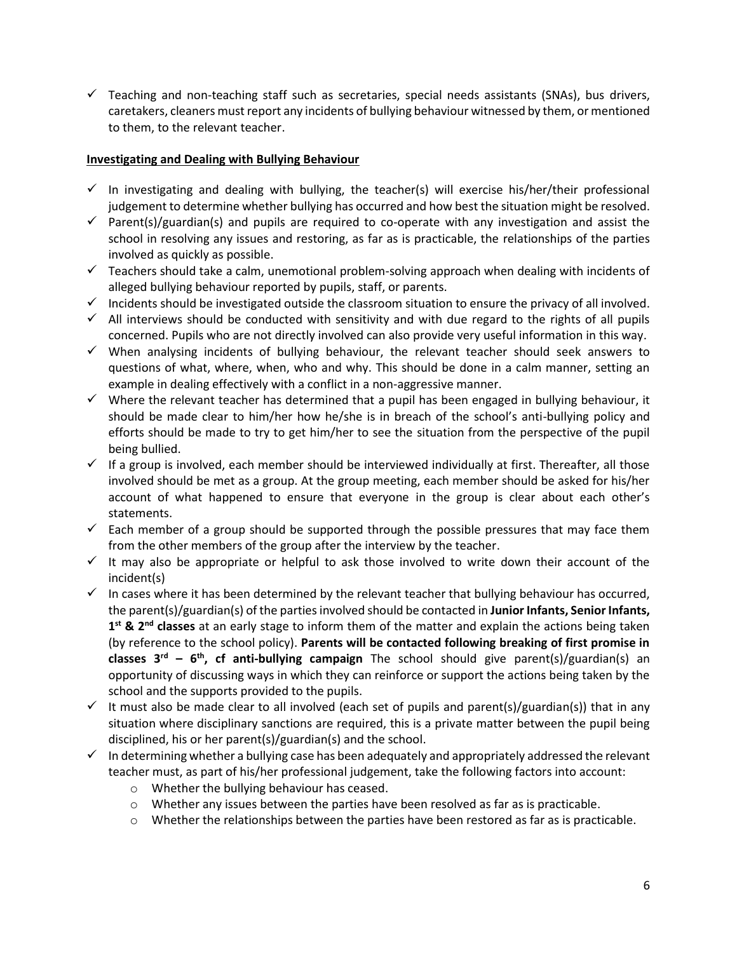$\checkmark$  Teaching and non-teaching staff such as secretaries, special needs assistants (SNAs), bus drivers, caretakers, cleaners must report any incidents of bullying behaviour witnessed by them, or mentioned to them, to the relevant teacher.

#### **Investigating and Dealing with Bullying Behaviour**

- $\checkmark$  In investigating and dealing with bullying, the teacher(s) will exercise his/her/their professional judgement to determine whether bullying has occurred and how best the situation might be resolved.
- $\checkmark$  Parent(s)/guardian(s) and pupils are required to co-operate with any investigation and assist the school in resolving any issues and restoring, as far as is practicable, the relationships of the parties involved as quickly as possible.
- ✓ Teachers should take a calm, unemotional problem-solving approach when dealing with incidents of alleged bullying behaviour reported by pupils, staff, or parents.
- ✓ Incidents should be investigated outside the classroom situation to ensure the privacy of all involved.
- $\checkmark$  All interviews should be conducted with sensitivity and with due regard to the rights of all pupils concerned. Pupils who are not directly involved can also provide very useful information in this way.
- $\checkmark$  When analysing incidents of bullying behaviour, the relevant teacher should seek answers to questions of what, where, when, who and why. This should be done in a calm manner, setting an example in dealing effectively with a conflict in a non-aggressive manner.
- $\checkmark$  Where the relevant teacher has determined that a pupil has been engaged in bullying behaviour, it should be made clear to him/her how he/she is in breach of the school's anti-bullying policy and efforts should be made to try to get him/her to see the situation from the perspective of the pupil being bullied.
- $\checkmark$  If a group is involved, each member should be interviewed individually at first. Thereafter, all those involved should be met as a group. At the group meeting, each member should be asked for his/her account of what happened to ensure that everyone in the group is clear about each other's statements.
- $\checkmark$  Each member of a group should be supported through the possible pressures that may face them from the other members of the group after the interview by the teacher.
- $\checkmark$  It may also be appropriate or helpful to ask those involved to write down their account of the incident(s)
- $\checkmark$  In cases where it has been determined by the relevant teacher that bullying behaviour has occurred, the parent(s)/guardian(s) of the parties involved should be contacted in **Junior Infants, Senior Infants, 1 st & 2nd classes** at an early stage to inform them of the matter and explain the actions being taken (by reference to the school policy). **Parents will be contacted following breaking of first promise in classes 3rd – 6 th, cf anti-bullying campaign** The school should give parent(s)/guardian(s) an opportunity of discussing ways in which they can reinforce or support the actions being taken by the school and the supports provided to the pupils.
- $\checkmark$  It must also be made clear to all involved (each set of pupils and parent(s)/guardian(s)) that in any situation where disciplinary sanctions are required, this is a private matter between the pupil being disciplined, his or her parent(s)/guardian(s) and the school.
- $\checkmark$  In determining whether a bullying case has been adequately and appropriately addressed the relevant teacher must, as part of his/her professional judgement, take the following factors into account:
	- o Whether the bullying behaviour has ceased.
	- $\circ$  Whether any issues between the parties have been resolved as far as is practicable.
	- $\circ$  Whether the relationships between the parties have been restored as far as is practicable.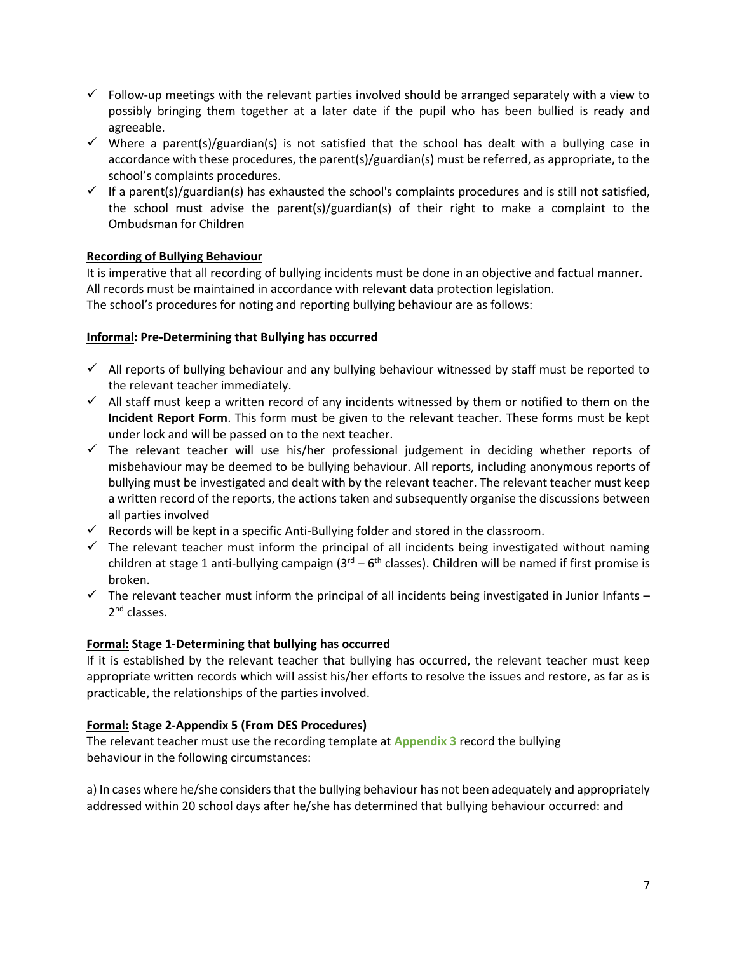- $\checkmark$  Follow-up meetings with the relevant parties involved should be arranged separately with a view to possibly bringing them together at a later date if the pupil who has been bullied is ready and agreeable.
- $\checkmark$  Where a parent(s)/guardian(s) is not satisfied that the school has dealt with a bullying case in accordance with these procedures, the parent(s)/guardian(s) must be referred, as appropriate, to the school's complaints procedures.
- $\checkmark$  If a parent(s)/guardian(s) has exhausted the school's complaints procedures and is still not satisfied, the school must advise the parent(s)/guardian(s) of their right to make a complaint to the Ombudsman for Children

# **Recording of Bullying Behaviour**

It is imperative that all recording of bullying incidents must be done in an objective and factual manner. All records must be maintained in accordance with relevant data protection legislation. The school's procedures for noting and reporting bullying behaviour are as follows:

#### **Informal: Pre-Determining that Bullying has occurred**

- $\checkmark$  All reports of bullying behaviour and any bullying behaviour witnessed by staff must be reported to the relevant teacher immediately.
- $\checkmark$  All staff must keep a written record of any incidents witnessed by them or notified to them on the **Incident Report Form**. This form must be given to the relevant teacher. These forms must be kept under lock and will be passed on to the next teacher.
- $\checkmark$  The relevant teacher will use his/her professional judgement in deciding whether reports of misbehaviour may be deemed to be bullying behaviour. All reports, including anonymous reports of bullying must be investigated and dealt with by the relevant teacher. The relevant teacher must keep a written record of the reports, the actions taken and subsequently organise the discussions between all parties involved
- $\checkmark$  Records will be kept in a specific Anti-Bullying folder and stored in the classroom.
- $\checkmark$  The relevant teacher must inform the principal of all incidents being investigated without naming children at stage 1 anti-bullying campaign (3<sup>rd</sup> – 6<sup>th</sup> classes). Children will be named if first promise is broken.
- $\checkmark$  The relevant teacher must inform the principal of all incidents being investigated in Junior Infants 2<sup>nd</sup> classes.

# **Formal: Stage 1-Determining that bullying has occurred**

If it is established by the relevant teacher that bullying has occurred, the relevant teacher must keep appropriate written records which will assist his/her efforts to resolve the issues and restore, as far as is practicable, the relationships of the parties involved.

# **Formal: Stage 2-Appendix 5 (From DES Procedures)**

The relevant teacher must use the recording template at **Appendix 3** record the bullying behaviour in the following circumstances:

a) In cases where he/she considers that the bullying behaviour has not been adequately and appropriately addressed within 20 school days after he/she has determined that bullying behaviour occurred: and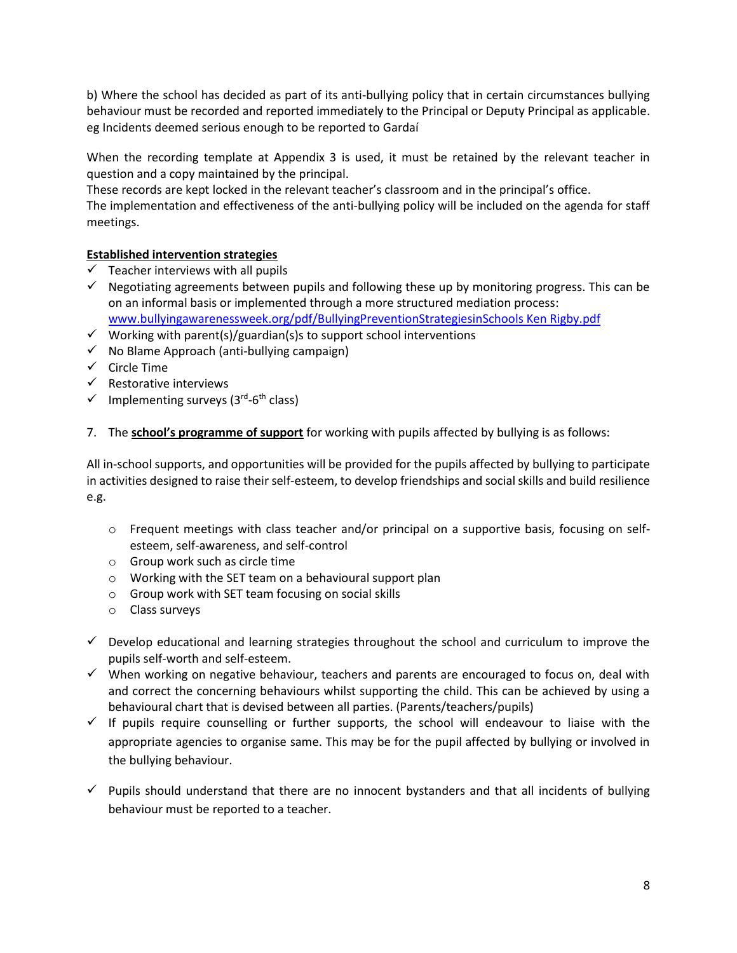b) Where the school has decided as part of its anti-bullying policy that in certain circumstances bullying behaviour must be recorded and reported immediately to the Principal or Deputy Principal as applicable. eg Incidents deemed serious enough to be reported to Gardaí

When the recording template at Appendix 3 is used, it must be retained by the relevant teacher in question and a copy maintained by the principal.

These records are kept locked in the relevant teacher's classroom and in the principal's office.

The implementation and effectiveness of the anti-bullying policy will be included on the agenda for staff meetings.

# **Established intervention strategies**

- $\checkmark$  Teacher interviews with all pupils
- $\checkmark$  Negotiating agreements between pupils and following these up by monitoring progress. This can be on an informal basis or implemented through a more structured mediation process: [www.bullyingawarenessweek.org/pdf/BullyingPreventionStrategiesinSchools Ken Rigby.pdf](http://www.bullyingawarenessweek.org/pdf/BullyingPreventionStrategiesinSchools%20Ken%20Rigby.pdf)
- $\checkmark$  Working with parent(s)/guardian(s)s to support school interventions
- $\checkmark$  No Blame Approach (anti-bullying campaign)
- $\checkmark$  Circle Time
- $\checkmark$  Restorative interviews
- $\checkmark$  Implementing surveys (3<sup>rd</sup>-6<sup>th</sup> class)
- 7. The **school's programme of support** for working with pupils affected by bullying is as follows:

All in-school supports, and opportunities will be provided for the pupils affected by bullying to participate in activities designed to raise their self-esteem, to develop friendships and social skills and build resilience e.g.

- o Frequent meetings with class teacher and/or principal on a supportive basis, focusing on selfesteem, self-awareness, and self-control
- o Group work such as circle time
- o Working with the SET team on a behavioural support plan
- o Group work with SET team focusing on social skills
- o Class surveys
- $\checkmark$  Develop educational and learning strategies throughout the school and curriculum to improve the pupils self-worth and self-esteem.
- ✓ When working on negative behaviour, teachers and parents are encouraged to focus on, deal with and correct the concerning behaviours whilst supporting the child. This can be achieved by using a behavioural chart that is devised between all parties. (Parents/teachers/pupils)
- $\checkmark$  If pupils require counselling or further supports, the school will endeavour to liaise with the appropriate agencies to organise same. This may be for the pupil affected by bullying or involved in the bullying behaviour.
- $\checkmark$  Pupils should understand that there are no innocent bystanders and that all incidents of bullying behaviour must be reported to a teacher.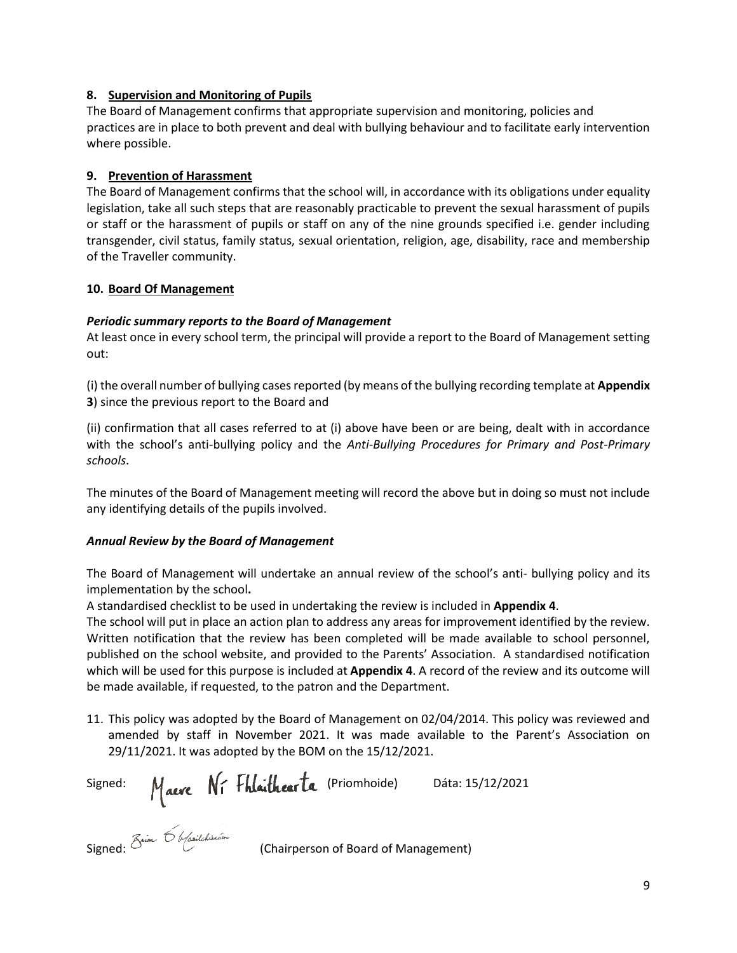#### **8. Supervision and Monitoring of Pupils**

The Board of Management confirms that appropriate supervision and monitoring, policies and practices are in place to both prevent and deal with bullying behaviour and to facilitate early intervention where possible.

# **9. Prevention of Harassment**

The Board of Management confirms that the school will, in accordance with its obligations under equality legislation, take all such steps that are reasonably practicable to prevent the sexual harassment of pupils or staff or the harassment of pupils or staff on any of the nine grounds specified i.e. gender including transgender, civil status, family status, sexual orientation, religion, age, disability, race and membership of the Traveller community.

#### **10. Board Of Management**

#### *Periodic summary reports to the Board of Management*

At least once in every school term, the principal will provide a report to the Board of Management setting out:

(i) the overall number of bullying cases reported (by means of the bullying recording template at **Appendix 3**) since the previous report to the Board and

(ii) confirmation that all cases referred to at (i) above have been or are being, dealt with in accordance with the school's anti-bullying policy and the *Anti-Bullying Procedures for Primary and Post-Primary schools*.

The minutes of the Board of Management meeting will record the above but in doing so must not include any identifying details of the pupils involved.

#### *Annual Review by the Board of Management*

The Board of Management will undertake an annual review of the school's anti- bullying policy and its implementation by the school**.** 

A standardised checklist to be used in undertaking the review is included in **Appendix 4**.

The school will put in place an action plan to address any areas for improvement identified by the review. Written notification that the review has been completed will be made available to school personnel, published on the school website, and provided to the Parents' Association. A standardised notification which will be used for this purpose is included at **Appendix 4**. A record of the review and its outcome will be made available, if requested, to the patron and the Department.

11. This policy was adopted by the Board of Management on 02/04/2014. This policy was reviewed and amended by staff in November 2021. It was made available to the Parent's Association on 29/11/2021. It was adopted by the BOM on the 15/12/2021.

Signed:  $M_{\text{a}e\text{m}}$  N<sub>1</sub> + hlaithear La (Priomhoide) Dáta: 15/12/2021

Signed:  $\circlearrowright$  (Chairperson of Board of Management)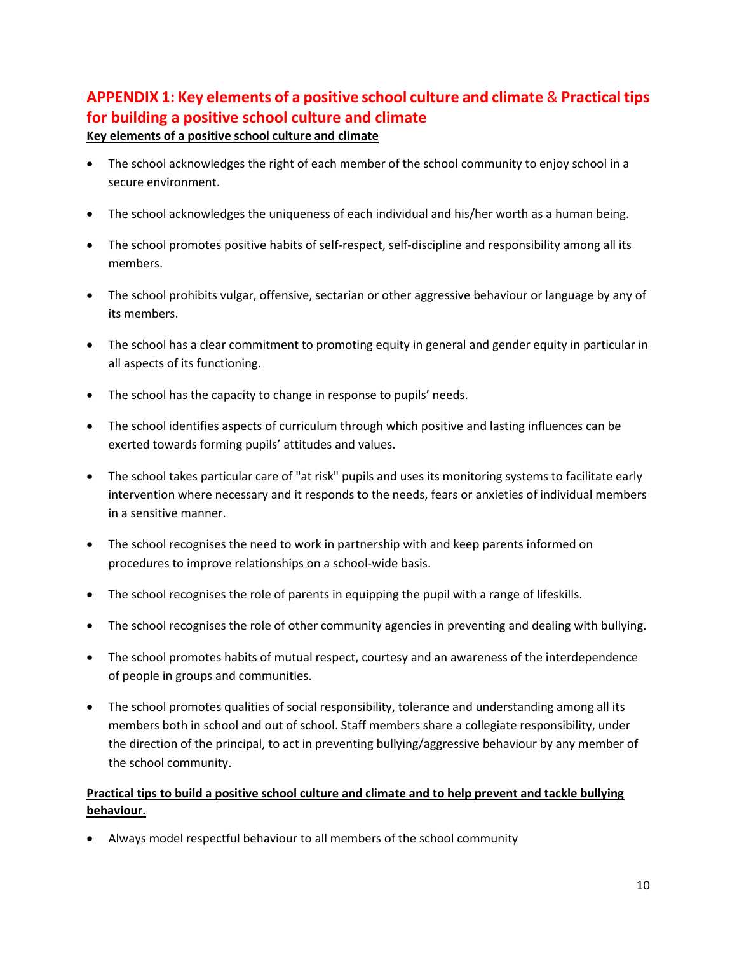# **APPENDIX 1: Key elements of a positive school culture and climate** & **Practical tips for building a positive school culture and climate**

# **Key elements of a positive school culture and climate**

- The school acknowledges the right of each member of the school community to enjoy school in a secure environment.
- The school acknowledges the uniqueness of each individual and his/her worth as a human being.
- The school promotes positive habits of self-respect, self-discipline and responsibility among all its members.
- The school prohibits vulgar, offensive, sectarian or other aggressive behaviour or language by any of its members.
- The school has a clear commitment to promoting equity in general and gender equity in particular in all aspects of its functioning.
- The school has the capacity to change in response to pupils' needs.
- The school identifies aspects of curriculum through which positive and lasting influences can be exerted towards forming pupils' attitudes and values.
- The school takes particular care of "at risk" pupils and uses its monitoring systems to facilitate early intervention where necessary and it responds to the needs, fears or anxieties of individual members in a sensitive manner.
- The school recognises the need to work in partnership with and keep parents informed on procedures to improve relationships on a school-wide basis.
- The school recognises the role of parents in equipping the pupil with a range of lifeskills.
- The school recognises the role of other community agencies in preventing and dealing with bullying.
- The school promotes habits of mutual respect, courtesy and an awareness of the interdependence of people in groups and communities.
- The school promotes qualities of social responsibility, tolerance and understanding among all its members both in school and out of school. Staff members share a collegiate responsibility, under the direction of the principal, to act in preventing bullying/aggressive behaviour by any member of the school community.

# **Practical tips to build a positive school culture and climate and to help prevent and tackle bullying behaviour.**

• Always model respectful behaviour to all members of the school community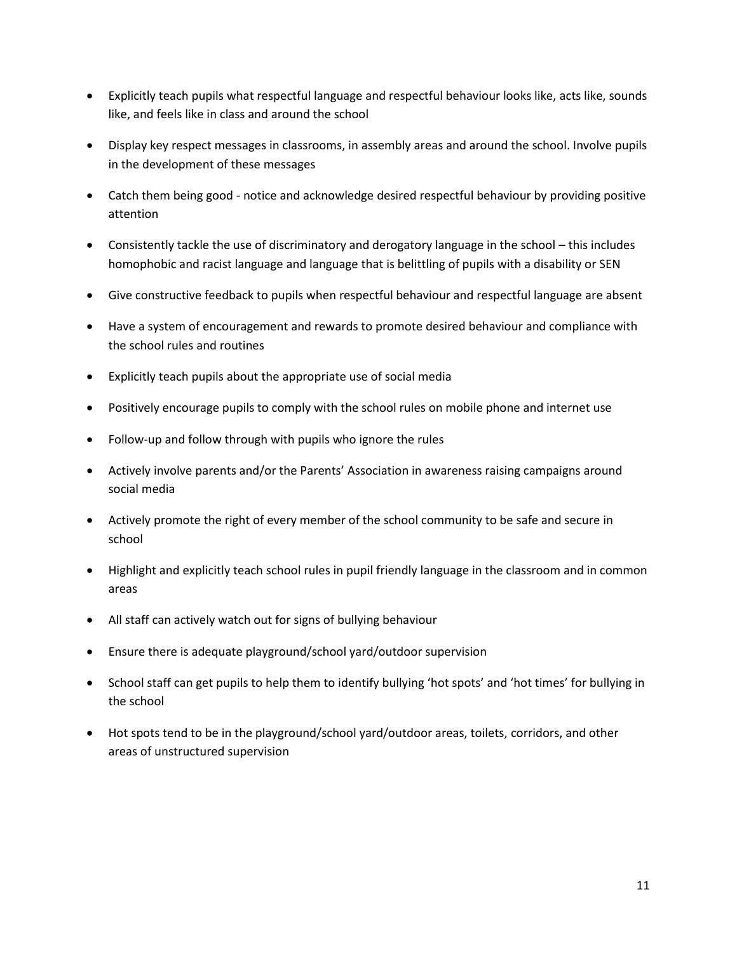- Explicitly teach pupils what respectful language and respectful behaviour looks like, acts like, sounds like, and feels like in class and around the school
- Display key respect messages in classrooms, in assembly areas and around the school. Involve pupils in the development of these messages
- Catch them being good notice and acknowledge desired respectful behaviour by providing positive attention
- Consistently tackle the use of discriminatory and derogatory language in the school this includes homophobic and racist language and language that is belittling of pupils with a disability or SEN
- Give constructive feedback to pupils when respectful behaviour and respectful language are absent
- Have a system of encouragement and rewards to promote desired behaviour and compliance with the school rules and routines
- Explicitly teach pupils about the appropriate use of social media
- Positively encourage pupils to comply with the school rules on mobile phone and internet use
- Follow-up and follow through with pupils who ignore the rules
- Actively involve parents and/or the Parents' Association in awareness raising campaigns around social media
- Actively promote the right of every member of the school community to be safe and secure in school
- Highlight and explicitly teach school rules in pupil friendly language in the classroom and in common areas
- All staff can actively watch out for signs of bullying behaviour
- Ensure there is adequate playground/school yard/outdoor supervision
- School staff can get pupils to help them to identify bullying 'hot spots' and 'hot times' for bullying in the school
- Hot spots tend to be in the playground/school yard/outdoor areas, toilets, corridors, and other areas of unstructured supervision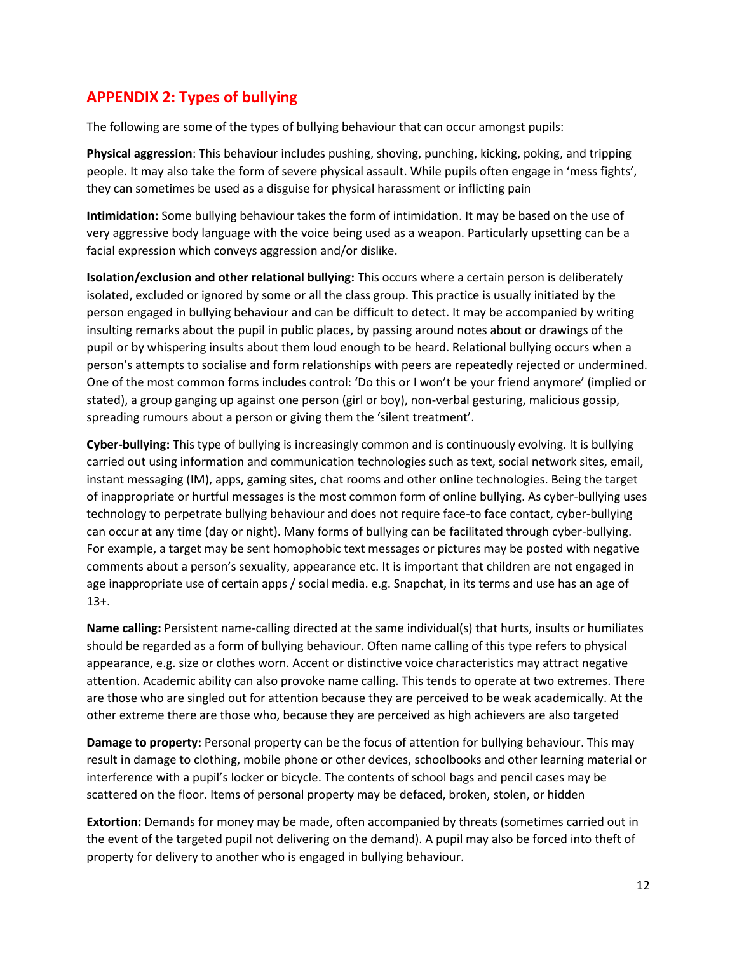# **APPENDIX 2: Types of bullying**

The following are some of the types of bullying behaviour that can occur amongst pupils:

**Physical aggression**: This behaviour includes pushing, shoving, punching, kicking, poking, and tripping people. It may also take the form of severe physical assault. While pupils often engage in 'mess fights', they can sometimes be used as a disguise for physical harassment or inflicting pain

**Intimidation:** Some bullying behaviour takes the form of intimidation. It may be based on the use of very aggressive body language with the voice being used as a weapon. Particularly upsetting can be a facial expression which conveys aggression and/or dislike.

**Isolation/exclusion and other relational bullying:** This occurs where a certain person is deliberately isolated, excluded or ignored by some or all the class group. This practice is usually initiated by the person engaged in bullying behaviour and can be difficult to detect. It may be accompanied by writing insulting remarks about the pupil in public places, by passing around notes about or drawings of the pupil or by whispering insults about them loud enough to be heard. Relational bullying occurs when a person's attempts to socialise and form relationships with peers are repeatedly rejected or undermined. One of the most common forms includes control: 'Do this or I won't be your friend anymore' (implied or stated), a group ganging up against one person (girl or boy), non-verbal gesturing, malicious gossip, spreading rumours about a person or giving them the 'silent treatment'.

**Cyber-bullying:** This type of bullying is increasingly common and is continuously evolving. It is bullying carried out using information and communication technologies such as text, social network sites, email, instant messaging (IM), apps, gaming sites, chat rooms and other online technologies. Being the target of inappropriate or hurtful messages is the most common form of online bullying. As cyber-bullying uses technology to perpetrate bullying behaviour and does not require face-to face contact, cyber-bullying can occur at any time (day or night). Many forms of bullying can be facilitated through cyber-bullying. For example, a target may be sent homophobic text messages or pictures may be posted with negative comments about a person's sexuality, appearance etc. It is important that children are not engaged in age inappropriate use of certain apps / social media. e.g. Snapchat, in its terms and use has an age of 13+.

**Name calling:** Persistent name-calling directed at the same individual(s) that hurts, insults or humiliates should be regarded as a form of bullying behaviour. Often name calling of this type refers to physical appearance, e.g. size or clothes worn. Accent or distinctive voice characteristics may attract negative attention. Academic ability can also provoke name calling. This tends to operate at two extremes. There are those who are singled out for attention because they are perceived to be weak academically. At the other extreme there are those who, because they are perceived as high achievers are also targeted

**Damage to property:** Personal property can be the focus of attention for bullying behaviour. This may result in damage to clothing, mobile phone or other devices, schoolbooks and other learning material or interference with a pupil's locker or bicycle. The contents of school bags and pencil cases may be scattered on the floor. Items of personal property may be defaced, broken, stolen, or hidden

**Extortion:** Demands for money may be made, often accompanied by threats (sometimes carried out in the event of the targeted pupil not delivering on the demand). A pupil may also be forced into theft of property for delivery to another who is engaged in bullying behaviour.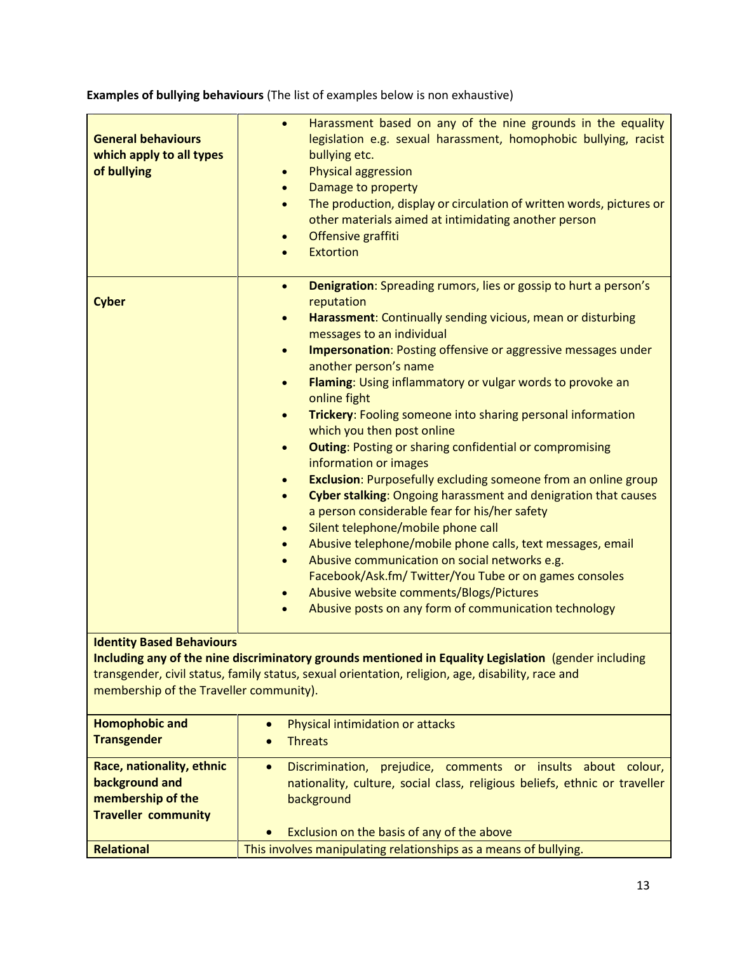| <b>General behaviours</b><br>which apply to all types<br>of bullying                                                                                                                                                                                                                     | Harassment based on any of the nine grounds in the equality<br>$\bullet$<br>legislation e.g. sexual harassment, homophobic bullying, racist<br>bullying etc.<br><b>Physical aggression</b><br>$\bullet$<br>Damage to property<br>$\bullet$<br>The production, display or circulation of written words, pictures or<br>$\bullet$<br>other materials aimed at intimidating another person<br>Offensive graffiti<br>$\bullet$<br><b>Extortion</b>                                                                                                                                                                                                                                                                                                                                                                                                                                                                                                                                                                                                                                                                                                                                                                                                  |  |  |  |
|------------------------------------------------------------------------------------------------------------------------------------------------------------------------------------------------------------------------------------------------------------------------------------------|-------------------------------------------------------------------------------------------------------------------------------------------------------------------------------------------------------------------------------------------------------------------------------------------------------------------------------------------------------------------------------------------------------------------------------------------------------------------------------------------------------------------------------------------------------------------------------------------------------------------------------------------------------------------------------------------------------------------------------------------------------------------------------------------------------------------------------------------------------------------------------------------------------------------------------------------------------------------------------------------------------------------------------------------------------------------------------------------------------------------------------------------------------------------------------------------------------------------------------------------------|--|--|--|
| <b>Cyber</b>                                                                                                                                                                                                                                                                             | <b>Denigration:</b> Spreading rumors, lies or gossip to hurt a person's<br>$\bullet$<br>reputation<br>Harassment: Continually sending vicious, mean or disturbing<br>$\bullet$<br>messages to an individual<br><b>Impersonation: Posting offensive or aggressive messages under</b><br>$\bullet$<br>another person's name<br>Flaming: Using inflammatory or vulgar words to provoke an<br>$\bullet$<br>online fight<br>Trickery: Fooling someone into sharing personal information<br>$\bullet$<br>which you then post online<br><b>Outing: Posting or sharing confidential or compromising</b><br>$\bullet$<br>information or images<br><b>Exclusion:</b> Purposefully excluding someone from an online group<br>$\bullet$<br>Cyber stalking: Ongoing harassment and denigration that causes<br>$\bullet$<br>a person considerable fear for his/her safety<br>Silent telephone/mobile phone call<br>$\bullet$<br>Abusive telephone/mobile phone calls, text messages, email<br>$\bullet$<br>Abusive communication on social networks e.g.<br>$\bullet$<br>Facebook/Ask.fm/ Twitter/You Tube or on games consoles<br>Abusive website comments/Blogs/Pictures<br>$\bullet$<br>Abusive posts on any form of communication technology<br>$\bullet$ |  |  |  |
| <b>Identity Based Behaviours</b><br>Including any of the nine discriminatory grounds mentioned in Equality Legislation (gender including<br>transgender, civil status, family status, sexual orientation, religion, age, disability, race and<br>membership of the Traveller community). |                                                                                                                                                                                                                                                                                                                                                                                                                                                                                                                                                                                                                                                                                                                                                                                                                                                                                                                                                                                                                                                                                                                                                                                                                                                 |  |  |  |
| <b>Homophobic and</b><br><b>Transgender</b>                                                                                                                                                                                                                                              | Physical intimidation or attacks<br>$\bullet$<br><b>Threats</b>                                                                                                                                                                                                                                                                                                                                                                                                                                                                                                                                                                                                                                                                                                                                                                                                                                                                                                                                                                                                                                                                                                                                                                                 |  |  |  |
| Race, nationality, ethnic<br>background and<br>membership of the<br><b>Traveller community</b>                                                                                                                                                                                           | Discrimination, prejudice, comments or insults about colour,<br>$\bullet$<br>nationality, culture, social class, religious beliefs, ethnic or traveller<br>background<br>Exclusion on the basis of any of the above                                                                                                                                                                                                                                                                                                                                                                                                                                                                                                                                                                                                                                                                                                                                                                                                                                                                                                                                                                                                                             |  |  |  |
| <b>Relational</b>                                                                                                                                                                                                                                                                        | This involves manipulating relationships as a means of bullying.                                                                                                                                                                                                                                                                                                                                                                                                                                                                                                                                                                                                                                                                                                                                                                                                                                                                                                                                                                                                                                                                                                                                                                                |  |  |  |

**Examples of bullying behaviours** (The list of examples below is non exhaustive)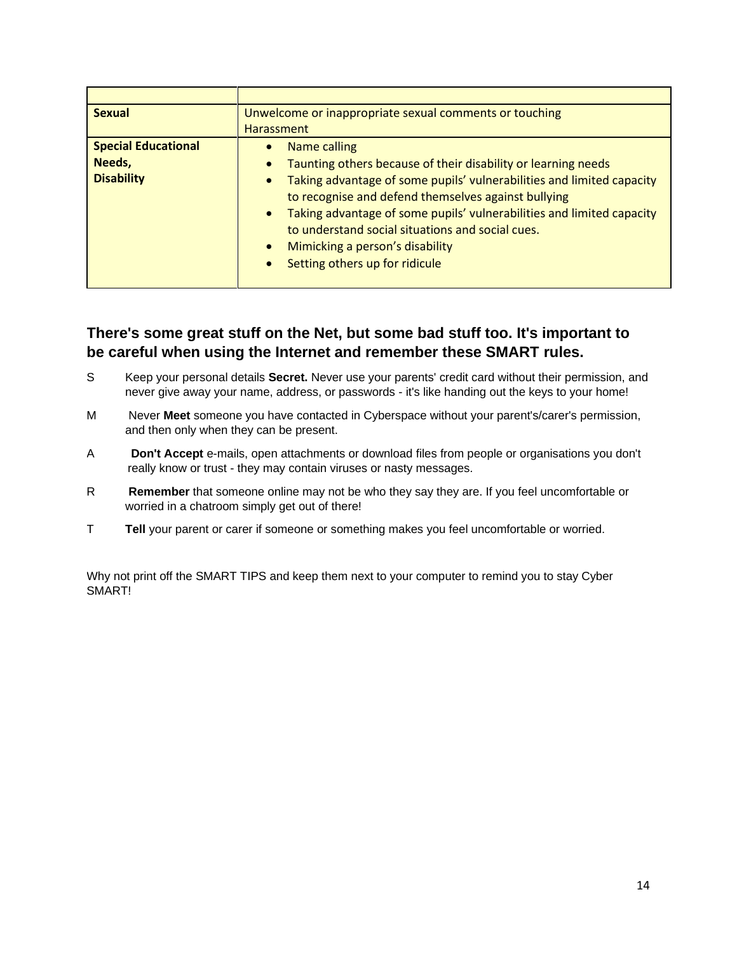| <b>Sexual</b>              | Unwelcome or inappropriate sexual comments or touching                                                                                    |  |  |  |
|----------------------------|-------------------------------------------------------------------------------------------------------------------------------------------|--|--|--|
|                            | <b>Harassment</b>                                                                                                                         |  |  |  |
| <b>Special Educational</b> | Name calling<br>$\bullet$                                                                                                                 |  |  |  |
| Needs,                     | Taunting others because of their disability or learning needs<br>$\bullet$                                                                |  |  |  |
| <b>Disability</b>          | Taking advantage of some pupils' vulnerabilities and limited capacity<br>$\bullet$<br>to recognise and defend themselves against bullying |  |  |  |
|                            | Taking advantage of some pupils' vulnerabilities and limited capacity<br>$\bullet$<br>to understand social situations and social cues.    |  |  |  |
|                            | Mimicking a person's disability<br>$\bullet$                                                                                              |  |  |  |
|                            | Setting others up for ridicule<br>$\bullet$                                                                                               |  |  |  |
|                            |                                                                                                                                           |  |  |  |

# **There's some great stuff on the Net, but some bad stuff too. It's important to be careful when using the Internet and remember these SMART rules.**

- S Keep your personal details **Secret.** Never use your parents' credit card without their permission, and never give away your name, address, or passwords - it's like handing out the keys to your home!
- M Never **Meet** someone you have contacted in Cyberspace without your parent's/carer's permission, and then only when they can be present.
- A **Don't Accept** e-mails, open attachments or download files from people or organisations you don't really know or trust - they may contain viruses or nasty messages.
- R **Remember** that someone online may not be who they say they are. If you feel uncomfortable or worried in a chatroom simply get out of there!
- T **Tell** your parent or carer if someone or something makes you feel uncomfortable or worried.

Why not print off the SMART TIPS and keep them next to your computer to remind you to stay Cyber SMART!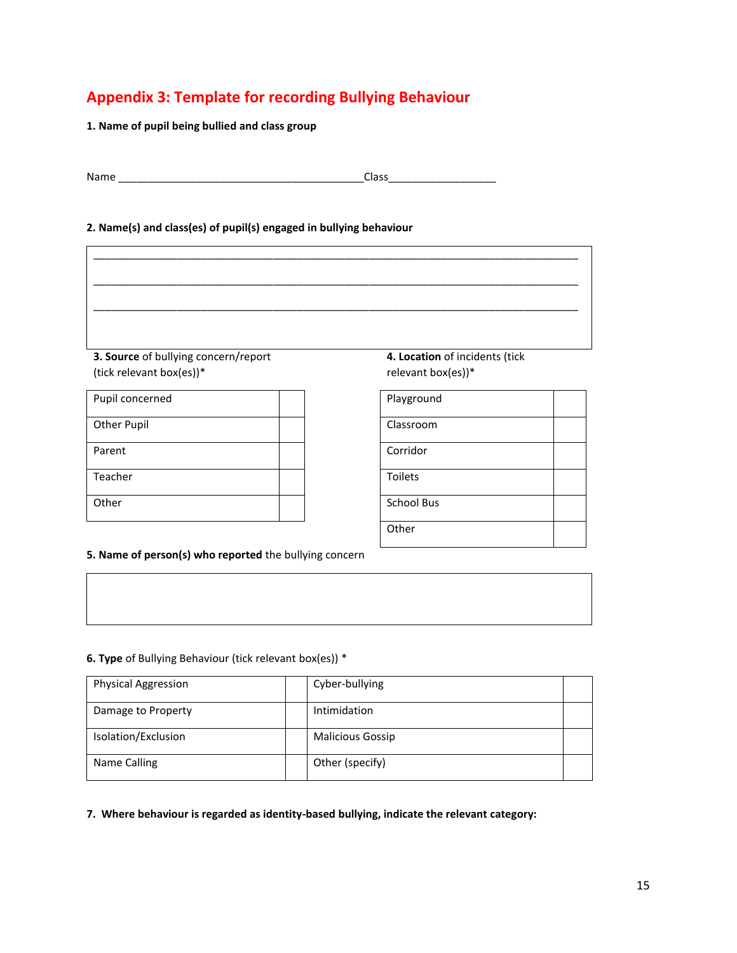# **Appendix 3: Template for recording Bullying Behaviour**

**1. Name of pupil being bullied and class group**

| Name | 122<br>ددە، |
|------|-------------|
|      |             |

#### **2. Name(s) and class(es) of pupil(s) engaged in bullying behaviour**



**3. Source** of bullying concern/report (tick relevant box(es))\*

| Pupil concerned    |  | Playground        |
|--------------------|--|-------------------|
| <b>Other Pupil</b> |  | Classroom         |
| Parent             |  | Corridor          |
| Teacher            |  | <b>Toilets</b>    |
| Other              |  | <b>School Bus</b> |

**4. Location** of incidents (tick relevant box(es))\*

| Playground        |  |
|-------------------|--|
| Classroom         |  |
| Corridor          |  |
| <b>Toilets</b>    |  |
| <b>School Bus</b> |  |
| Other             |  |

**5. Name of person(s) who reported** the bullying concern

#### **6. Type** of Bullying Behaviour (tick relevant box(es)) \*

| <b>Physical Aggression</b> | Cyber-bullying          |  |
|----------------------------|-------------------------|--|
| Damage to Property         | Intimidation            |  |
| Isolation/Exclusion        | <b>Malicious Gossip</b> |  |
| Name Calling               | Other (specify)         |  |

**7. Where behaviour is regarded as identity-based bullying, indicate the relevant category:**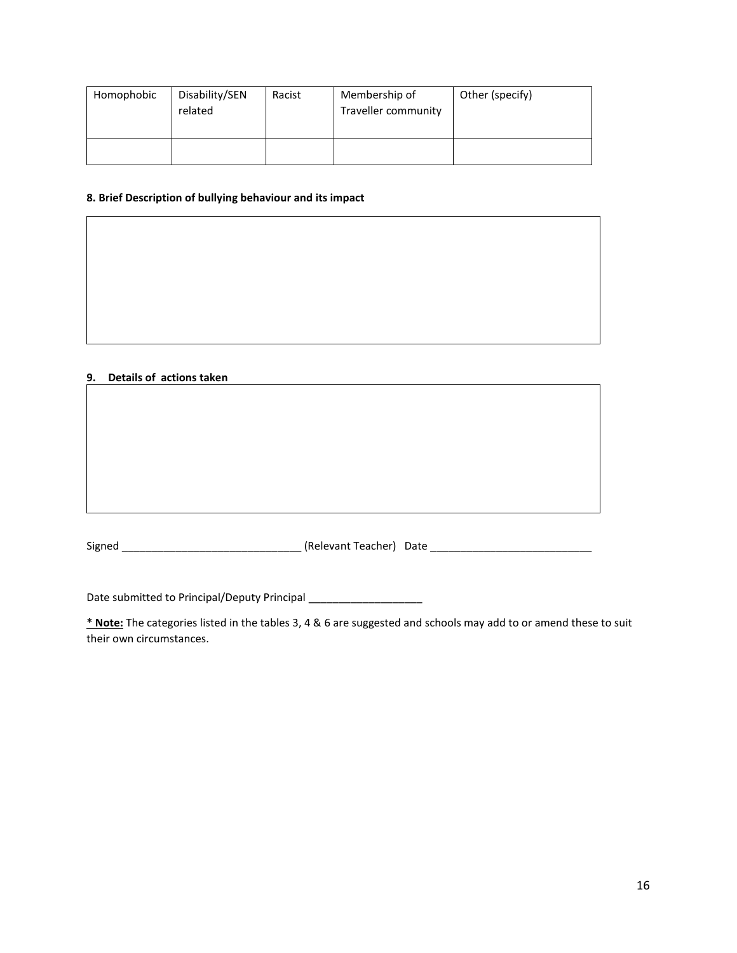| Homophobic | Disability/SEN<br>related | Racist | Membership of<br>Traveller community | Other (specify) |
|------------|---------------------------|--------|--------------------------------------|-----------------|
|            |                           |        |                                      |                 |

#### **8. Brief Description of bullying behaviour and its impact**

#### **9. Details of actions taken**

Signed \_\_\_\_\_\_\_\_\_\_\_\_\_\_\_\_\_\_\_\_\_\_\_\_\_\_\_\_\_\_ (Relevant Teacher) Date \_\_\_\_\_\_\_\_\_\_\_\_\_\_\_\_\_\_\_\_\_\_\_\_\_\_\_

Date submitted to Principal/Deputy Principal \_\_\_\_\_\_\_\_\_\_\_\_\_\_\_\_\_\_\_\_\_\_\_\_\_\_\_\_\_\_\_\_\_\_\_

**\* Note:** The categories listed in the tables 3, 4 & 6 are suggested and schools may add to or amend these to suit their own circumstances.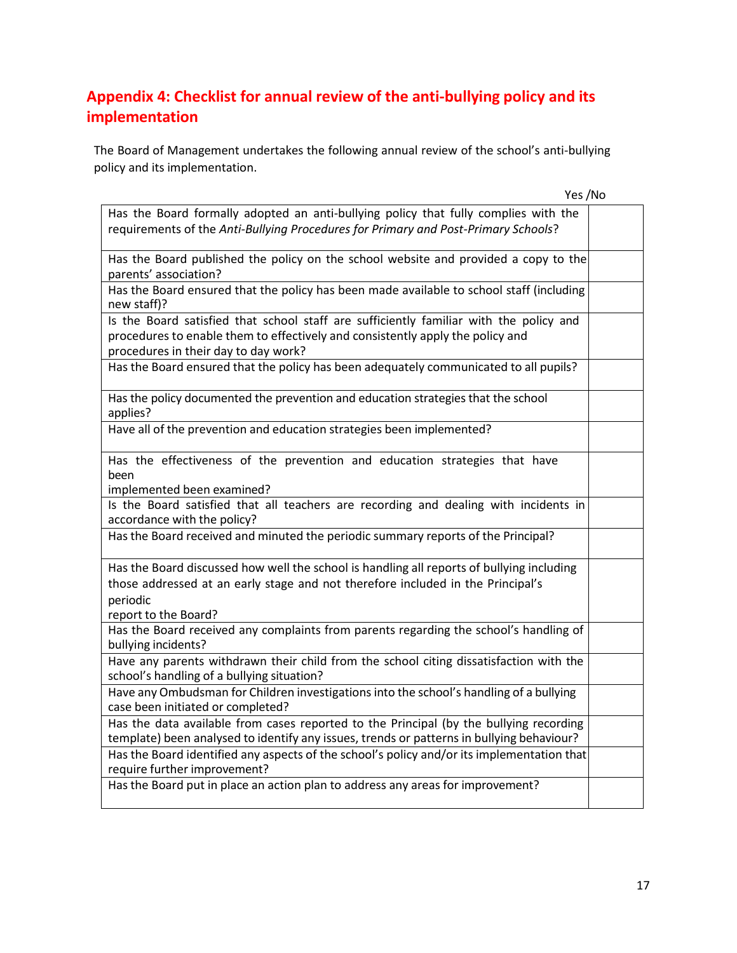# **Appendix 4: Checklist for annual review of the anti-bullying policy and its implementation**

The Board of Management undertakes the following annual review of the school's anti-bullying policy and its implementation.

| Yes /No                                                                                                                                                                                                          |  |
|------------------------------------------------------------------------------------------------------------------------------------------------------------------------------------------------------------------|--|
| Has the Board formally adopted an anti-bullying policy that fully complies with the                                                                                                                              |  |
| requirements of the Anti-Bullying Procedures for Primary and Post-Primary Schools?                                                                                                                               |  |
| Has the Board published the policy on the school website and provided a copy to the<br>parents' association?                                                                                                     |  |
| Has the Board ensured that the policy has been made available to school staff (including<br>new staff)?                                                                                                          |  |
| Is the Board satisfied that school staff are sufficiently familiar with the policy and<br>procedures to enable them to effectively and consistently apply the policy and<br>procedures in their day to day work? |  |
| Has the Board ensured that the policy has been adequately communicated to all pupils?                                                                                                                            |  |
| Has the policy documented the prevention and education strategies that the school<br>applies?                                                                                                                    |  |
| Have all of the prevention and education strategies been implemented?                                                                                                                                            |  |
| Has the effectiveness of the prevention and education strategies that have<br>been<br>implemented been examined?                                                                                                 |  |
| Is the Board satisfied that all teachers are recording and dealing with incidents in<br>accordance with the policy?                                                                                              |  |
| Has the Board received and minuted the periodic summary reports of the Principal?                                                                                                                                |  |
| Has the Board discussed how well the school is handling all reports of bullying including<br>those addressed at an early stage and not therefore included in the Principal's<br>periodic<br>report to the Board? |  |
| Has the Board received any complaints from parents regarding the school's handling of<br>bullying incidents?                                                                                                     |  |
| Have any parents withdrawn their child from the school citing dissatisfaction with the<br>school's handling of a bullying situation?                                                                             |  |
| Have any Ombudsman for Children investigations into the school's handling of a bullying<br>case been initiated or completed?                                                                                     |  |
| Has the data available from cases reported to the Principal (by the bullying recording<br>template) been analysed to identify any issues, trends or patterns in bullying behaviour?                              |  |
| Has the Board identified any aspects of the school's policy and/or its implementation that<br>require further improvement?                                                                                       |  |
| Has the Board put in place an action plan to address any areas for improvement?                                                                                                                                  |  |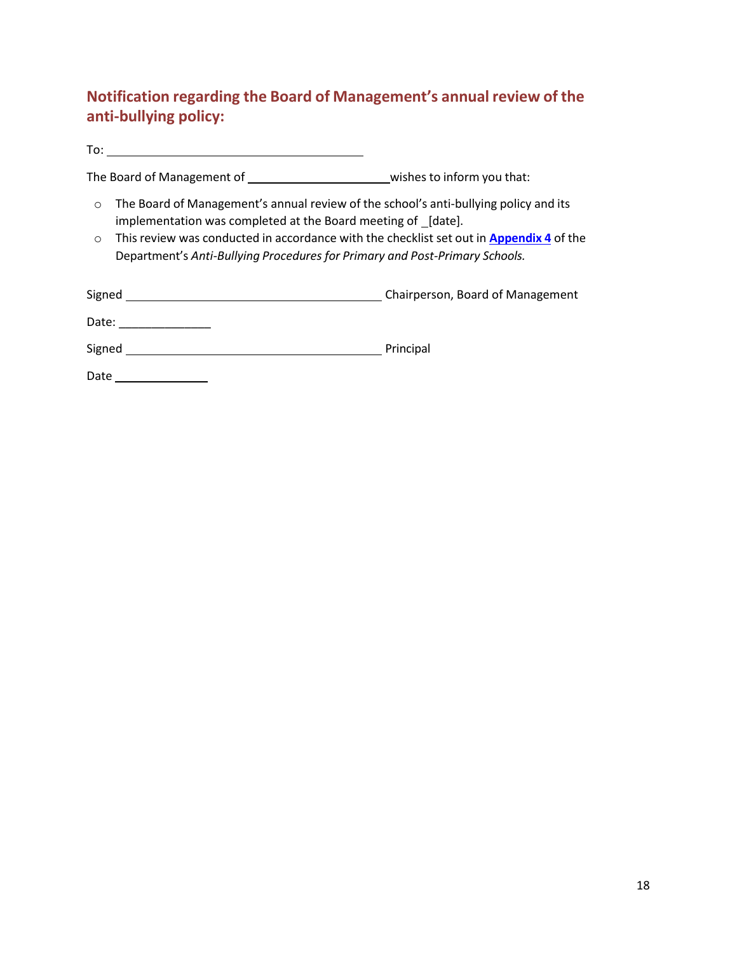# **Notification regarding the Board of Management's annual review of the anti-bullying policy:**

To:

The Board of Management of \_\_\_\_\_\_\_\_\_\_\_\_\_\_\_\_\_\_\_\_\_\_\_\_\_\_\_\_\_\_wishes to inform you that:

- o The Board of Management's annual review of the school's anti-bullying policy and its implementation was completed at the Board meeting of [date].
- o Thisreview was conducted in accordance with the checklist set out in **Appendix 4** of the Department's *Anti-Bullying Procedures for Primary and Post-Primary Schools.*

| Signed | Chairperson, Board of Management |
|--------|----------------------------------|
| Date:  |                                  |
| Signed | Principal                        |

Date \_\_\_\_\_\_\_\_\_\_\_\_\_\_